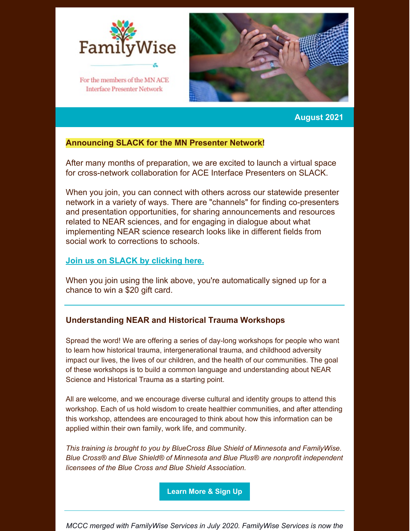

For the members of the MN ACE **Interface Presenter Network** 



## **August 2021**

## **Announcing SLACK for the MN Presenter Network!**

After many months of preparation, we are excited to launch a virtual space for cross-network collaboration for ACE Interface Presenters on SLACK.

When you join, you can connect with others across our statewide presenter network in a variety of ways. There are "channels" for finding co-presenters and presentation opportunities, for sharing announcements and resources related to NEAR sciences, and for engaging in dialogue about what implementing NEAR science research looks like in different fields from social work to corrections to schools.

## **Join us on SLACK by [clicking](https://join.slack.com/t/familywiseservices/shared_invite/zt-u9bp1opu-wMnH9pYJi5otgcKw0jeU1A) here.**

When you join using the link above, you're automatically signed up for a chance to win a \$20 gift card.

## **Understanding NEAR and Historical Trauma Workshops**

Spread the word! We are offering a series of day-long workshops for people who want to learn how historical trauma, intergenerational trauma, and childhood adversity impact our lives, the lives of our children, and the health of our communities. The goal of these workshops is to build a common language and understanding about NEAR Science and Historical Trauma as a starting point.

All are welcome, and we encourage diverse cultural and identity groups to attend this workshop. Each of us hold wisdom to create healthier communities, and after attending this workshop, attendees are encouraged to think about how this information can be applied within their own family, work life, and community.

*This training is brought to you by BlueCross Blue Shield of Minnesota and FamilyWise. Blue Cross® and Blue Shield® of Minnesota and Blue Plus® are nonprofit independent licensees of the Blue Cross and Blue Shield Association.*

**[Learn](https://familywiseservices.org/news/understanding-near-science-and-historical-trauma-free-workshop/) More & Sign Up**

*MCCC merged with FamilyWise Services in July 2020. FamilyWise Services is now the*